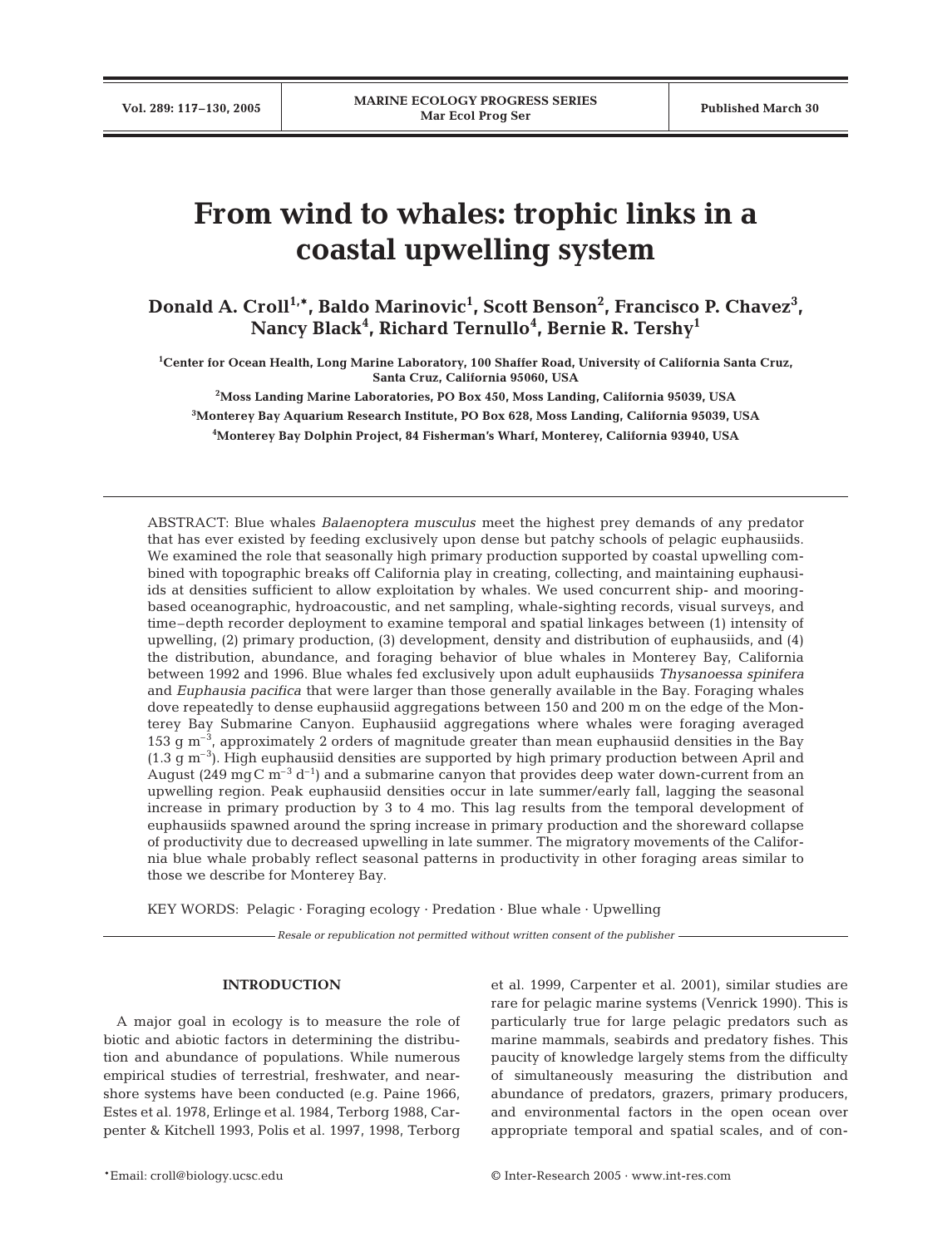# **From wind to whales: trophic links in a coastal upwelling system**

**Donald A. Croll1,\*, Baldo Marinovic1 , Scott Benson2 , Francisco P. Chavez3 , Nancy Black4 , Richard Ternullo4 , Bernie R. Tershy1**

**1 Center for Ocean Health, Long Marine Laboratory, 100 Shaffer Road, University of California Santa Cruz, Santa Cruz, California 95060, USA**

**2 Moss Landing Marine Laboratories, PO Box 450, Moss Landing, California 95039, USA**

**3 Monterey Bay Aquarium Research Institute, PO Box 628, Moss Landing, California 95039, USA 4 Monterey Bay Dolphin Project, 84 Fisherman's Wharf, Monterey, California 93940, USA**

ABSTRACT: Blue whales *Balaenoptera musculus* meet the highest prey demands of any predator that has ever existed by feeding exclusively upon dense but patchy schools of pelagic euphausiids. We examined the role that seasonally high primary production supported by coastal upwelling combined with topographic breaks off California play in creating, collecting, and maintaining euphausiids at densities sufficient to allow exploitation by whales. We used concurrent ship- and mooringbased oceanographic, hydroacoustic, and net sampling, whale-sighting records, visual surveys, and time–depth recorder deployment to examine temporal and spatial linkages between (1) intensity of upwelling, (2) primary production, (3) development, density and distribution of euphausiids, and (4) the distribution, abundance, and foraging behavior of blue whales in Monterey Bay, California between 1992 and 1996. Blue whales fed exclusively upon adult euphausiids *Thysanoessa spinifera* and *Euphausia pacifica* that were larger than those generally available in the Bay. Foraging whales dove repeatedly to dense euphausiid aggregations between 150 and 200 m on the edge of the Monterey Bay Submarine Canyon. Euphausiid aggregations where whales were foraging averaged 153 g  $\text{m}^{-3}$ , approximately 2 orders of magnitude greater than mean euphausiid densities in the Bay  $(1.3 \text{ g m}^{-3})$ . High euphausiid densities are supported by high primary production between April and August (249 mg C m<sup>-3</sup> d<sup>-1</sup>) and a submarine canyon that provides deep water down-current from an upwelling region. Peak euphausiid densities occur in late summer/early fall, lagging the seasonal increase in primary production by 3 to 4 mo. This lag results from the temporal development of euphausiids spawned around the spring increase in primary production and the shoreward collapse of productivity due to decreased upwelling in late summer. The migratory movements of the California blue whale probably reflect seasonal patterns in productivity in other foraging areas similar to those we describe for Monterey Bay.

KEY WORDS: Pelagic · Foraging ecology · Predation · Blue whale · Upwelling

*Resale or republication not permitted without written consent of the publisher*

## **INTRODUCTION**

A major goal in ecology is to measure the role of biotic and abiotic factors in determining the distribution and abundance of populations. While numerous empirical studies of terrestrial, freshwater, and nearshore systems have been conducted (e.g. Paine 1966, Estes et al. 1978, Erlinge et al. 1984, Terborg 1988, Carpenter & Kitchell 1993, Polis et al. 1997, 1998, Terborg

et al. 1999, Carpenter et al. 2001), similar studies are rare for pelagic marine systems (Venrick 1990). This is particularly true for large pelagic predators such as marine mammals, seabirds and predatory fishes. This paucity of knowledge largely stems from the difficulty of simultaneously measuring the distribution and abundance of predators, grazers, primary producers, and environmental factors in the open ocean over appropriate temporal and spatial scales, and of con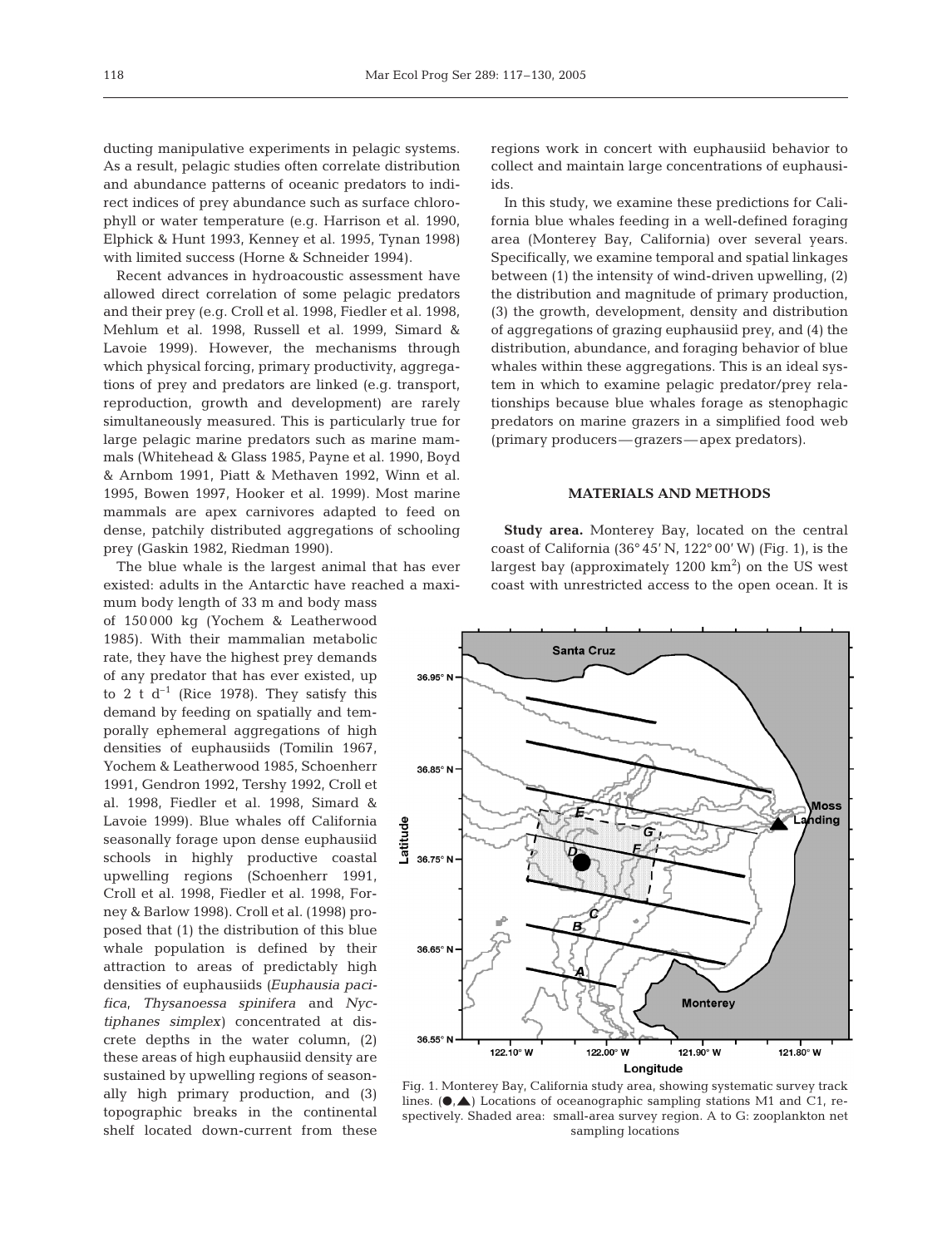ducting manipulative experiments in pelagic systems. As a result, pelagic studies often correlate distribution and abundance patterns of oceanic predators to indirect indices of prey abundance such as surface chlorophyll or water temperature (e.g. Harrison et al. 1990, Elphick & Hunt 1993, Kenney et al. 1995, Tynan 1998) with limited success (Horne & Schneider 1994).

Recent advances in hydroacoustic assessment have allowed direct correlation of some pelagic predators and their prey (e.g. Croll et al. 1998, Fiedler et al. 1998, Mehlum et al. 1998, Russell et al. 1999, Simard & Lavoie 1999). However, the mechanisms through which physical forcing, primary productivity, aggregations of prey and predators are linked (e.g. transport, reproduction, growth and development) are rarely simultaneously measured. This is particularly true for large pelagic marine predators such as marine mammals (Whitehead & Glass 1985, Payne et al. 1990, Boyd & Arnbom 1991, Piatt & Methaven 1992, Winn et al. 1995, Bowen 1997, Hooker et al. 1999). Most marine mammals are apex carnivores adapted to feed on dense, patchily distributed aggregations of schooling prey (Gaskin 1982, Riedman 1990).

The blue whale is the largest animal that has ever existed: adults in the Antarctic have reached a maxi-

mum body length of 33 m and body mass of 150 000 kg (Yochem & Leatherwood 1985). With their mammalian metabolic rate, they have the highest prey demands of any predator that has ever existed, up to 2 t  $d^{-1}$  (Rice 1978). They satisfy this demand by feeding on spatially and temporally ephemeral aggregations of high densities of euphausiids (Tomilin 1967, Yochem & Leatherwood 1985, Schoenherr 1991, Gendron 1992, Tershy 1992, Croll et al. 1998, Fiedler et al. 1998, Simard & Lavoie 1999). Blue whales off California seasonally forage upon dense euphausiid schools in highly productive coastal upwelling regions (Schoenherr 1991, Croll et al. 1998, Fiedler et al. 1998, Forney & Barlow 1998). Croll et al. (1998) proposed that (1) the distribution of this blue whale population is defined by their attraction to areas of predictably high densities of euphausiids *(Euphausia pacifica*, *Thysanoessa spinifera* and *Nyctiphanes simplex)* concentrated at discrete depths in the water column, (2) these areas of high euphausiid density are sustained by upwelling regions of seasonally high primary production, and (3) topographic breaks in the continental shelf located down-current from these

regions work in concert with euphausiid behavior to collect and maintain large concentrations of euphausiids.

In this study, we examine these predictions for California blue whales feeding in a well-defined foraging area (Monterey Bay, California) over several years. Specifically, we examine temporal and spatial linkages between (1) the intensity of wind-driven upwelling, (2) the distribution and magnitude of primary production, (3) the growth, development, density and distribution of aggregations of grazing euphausiid prey, and (4) the distribution, abundance, and foraging behavior of blue whales within these aggregations. This is an ideal system in which to examine pelagic predator/prey relationships because blue whales forage as stenophagic predators on marine grazers in a simplified food web (primary producers—grazers—apex predators).

# **MATERIALS AND METHODS**

**Study area.** Monterey Bay, located on the central coast of California  $(36^{\circ} 45' N, 122^{\circ} 00' W)$  (Fig. 1), is the largest bay (approximately  $1200 \text{ km}^2$ ) on the US west coast with unrestricted access to the open ocean. It is



Fig. 1. Monterey Bay, California study area, showing systematic survey track lines.  $(\bullet, \bullet)$  Locations of oceanographic sampling stations M1 and C1, respectively. Shaded area: small-area survey region. A to G: zooplankton net sampling locations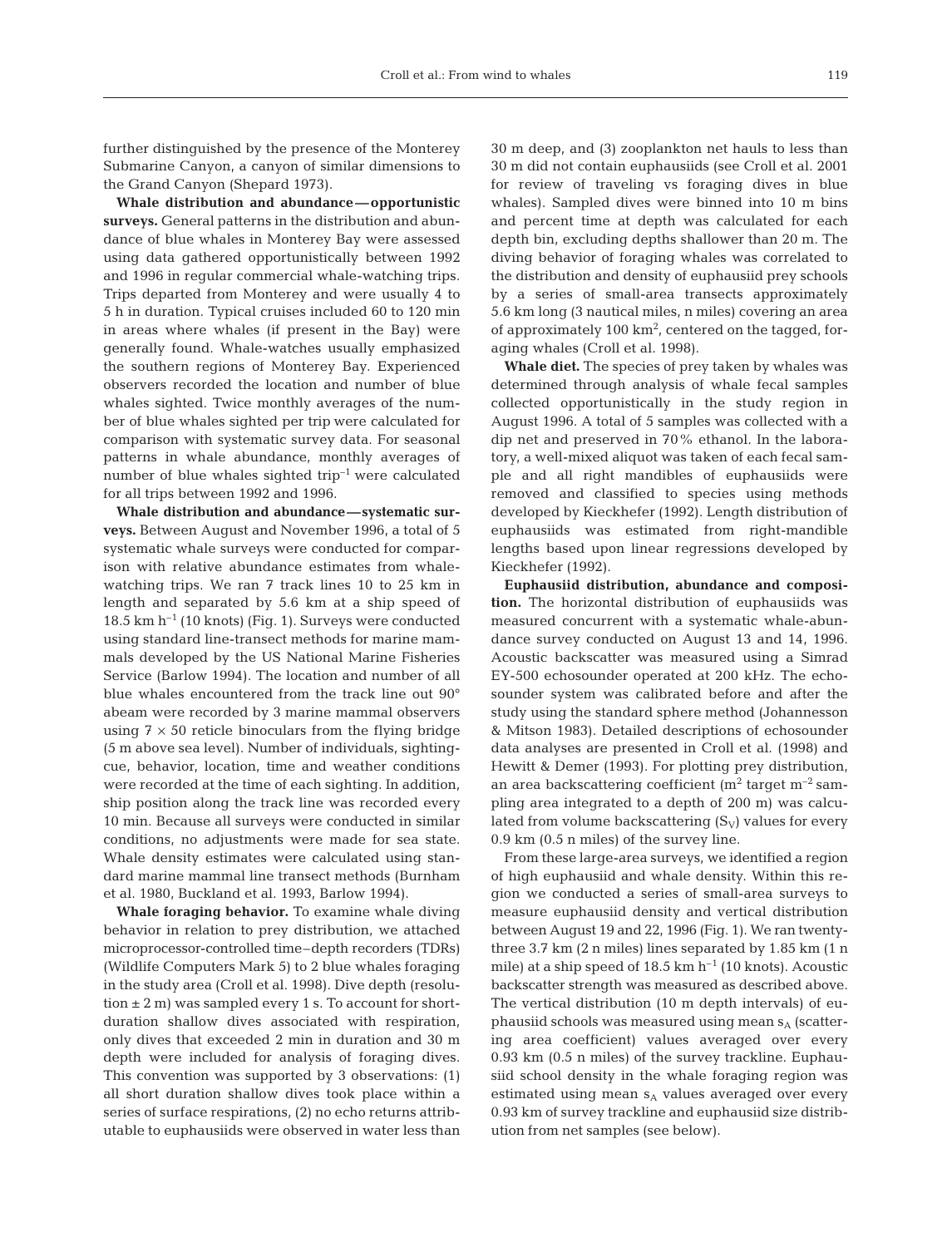further distinguished by the presence of the Monterey Submarine Canyon, a canyon of similar dimensions to the Grand Canyon (Shepard 1973).

**Whale distribution and abundance—opportunistic surveys.** General patterns in the distribution and abundance of blue whales in Monterey Bay were assessed using data gathered opportunistically between 1992 and 1996 in regular commercial whale-watching trips. Trips departed from Monterey and were usually 4 to 5 h in duration. Typical cruises included 60 to 120 min in areas where whales (if present in the Bay) were generally found. Whale-watches usually emphasized the southern regions of Monterey Bay. Experienced observers recorded the location and number of blue whales sighted. Twice monthly averages of the number of blue whales sighted per trip were calculated for comparison with systematic survey data. For seasonal patterns in whale abundance, monthly averages of number of blue whales sighted  $trip^{-1}$  were calculated for all trips between 1992 and 1996.

**Whale distribution and abundance—systematic surveys.** Between August and November 1996, a total of 5 systematic whale surveys were conducted for comparison with relative abundance estimates from whalewatching trips. We ran 7 track lines 10 to 25 km in length and separated by 5.6 km at a ship speed of 18.5 km  $h^{-1}$  (10 knots) (Fig. 1). Surveys were conducted using standard line-transect methods for marine mammals developed by the US National Marine Fisheries Service (Barlow 1994). The location and number of all blue whales encountered from the track line out 90° abeam were recorded by 3 marine mammal observers using  $7 \times 50$  reticle binoculars from the flying bridge (5 m above sea level). Number of individuals, sightingcue, behavior, location, time and weather conditions were recorded at the time of each sighting. In addition, ship position along the track line was recorded every 10 min. Because all surveys were conducted in similar conditions, no adjustments were made for sea state. Whale density estimates were calculated using standard marine mammal line transect methods (Burnham et al. 1980, Buckland et al. 1993, Barlow 1994).

**Whale foraging behavior.** To examine whale diving behavior in relation to prey distribution, we attached microprocessor-controlled time–depth recorders (TDRs) (Wildlife Computers Mark 5) to 2 blue whales foraging in the study area (Croll et al. 1998). Dive depth (resolution  $\pm 2$  m) was sampled every 1 s. To account for shortduration shallow dives associated with respiration, only dives that exceeded 2 min in duration and 30 m depth were included for analysis of foraging dives. This convention was supported by 3 observations: (1) all short duration shallow dives took place within a series of surface respirations, (2) no echo returns attributable to euphausiids were observed in water less than

30 m deep, and (3) zooplankton net hauls to less than 30 m did not contain euphausiids (see Croll et al. 2001 for review of traveling vs foraging dives in blue whales). Sampled dives were binned into 10 m bins and percent time at depth was calculated for each depth bin, excluding depths shallower than 20 m. The diving behavior of foraging whales was correlated to the distribution and density of euphausiid prey schools by a series of small-area transects approximately 5.6 km long (3 nautical miles, n miles) covering an area of approximately 100 km<sup>2</sup>, centered on the tagged, foraging whales (Croll et al. 1998).

**Whale diet.** The species of prey taken by whales was determined through analysis of whale fecal samples collected opportunistically in the study region in August 1996. A total of 5 samples was collected with a dip net and preserved in 70% ethanol. In the laboratory, a well-mixed aliquot was taken of each fecal sample and all right mandibles of euphausiids were removed and classified to species using methods developed by Kieckhefer (1992). Length distribution of euphausiids was estimated from right-mandible lengths based upon linear regressions developed by Kieckhefer (1992).

**Euphausiid distribution, abundance and composition.** The horizontal distribution of euphausiids was measured concurrent with a systematic whale-abundance survey conducted on August 13 and 14, 1996. Acoustic backscatter was measured using a Simrad EY-500 echosounder operated at 200 kHz. The echosounder system was calibrated before and after the study using the standard sphere method (Johannesson & Mitson 1983). Detailed descriptions of echosounder data analyses are presented in Croll et al. (1998) and Hewitt & Demer (1993). For plotting prey distribution, an area backscattering coefficient  $(m^2 \text{ target } m^{-2} \text{ sam-}$ pling area integrated to a depth of 200 m) was calculated from volume backscattering  $(S_V)$  values for every 0.9 km (0.5 n miles) of the survey line.

From these large-area surveys, we identified a region of high euphausiid and whale density. Within this region we conducted a series of small-area surveys to measure euphausiid density and vertical distribution between August 19 and 22, 1996 (Fig. 1). We ran twentythree 3.7 km (2 n miles) lines separated by 1.85 km (1 n mile) at a ship speed of  $18.5 \text{ km h}^{-1}$  (10 knots). Acoustic backscatter strength was measured as described above. The vertical distribution (10 m depth intervals) of euphausiid schools was measured using mean  $s_A$  (scattering area coefficient) values averaged over every 0.93 km (0.5 n miles) of the survey trackline. Euphausiid school density in the whale foraging region was estimated using mean  $s_A$  values averaged over every 0.93 km of survey trackline and euphausiid size distribution from net samples (see below).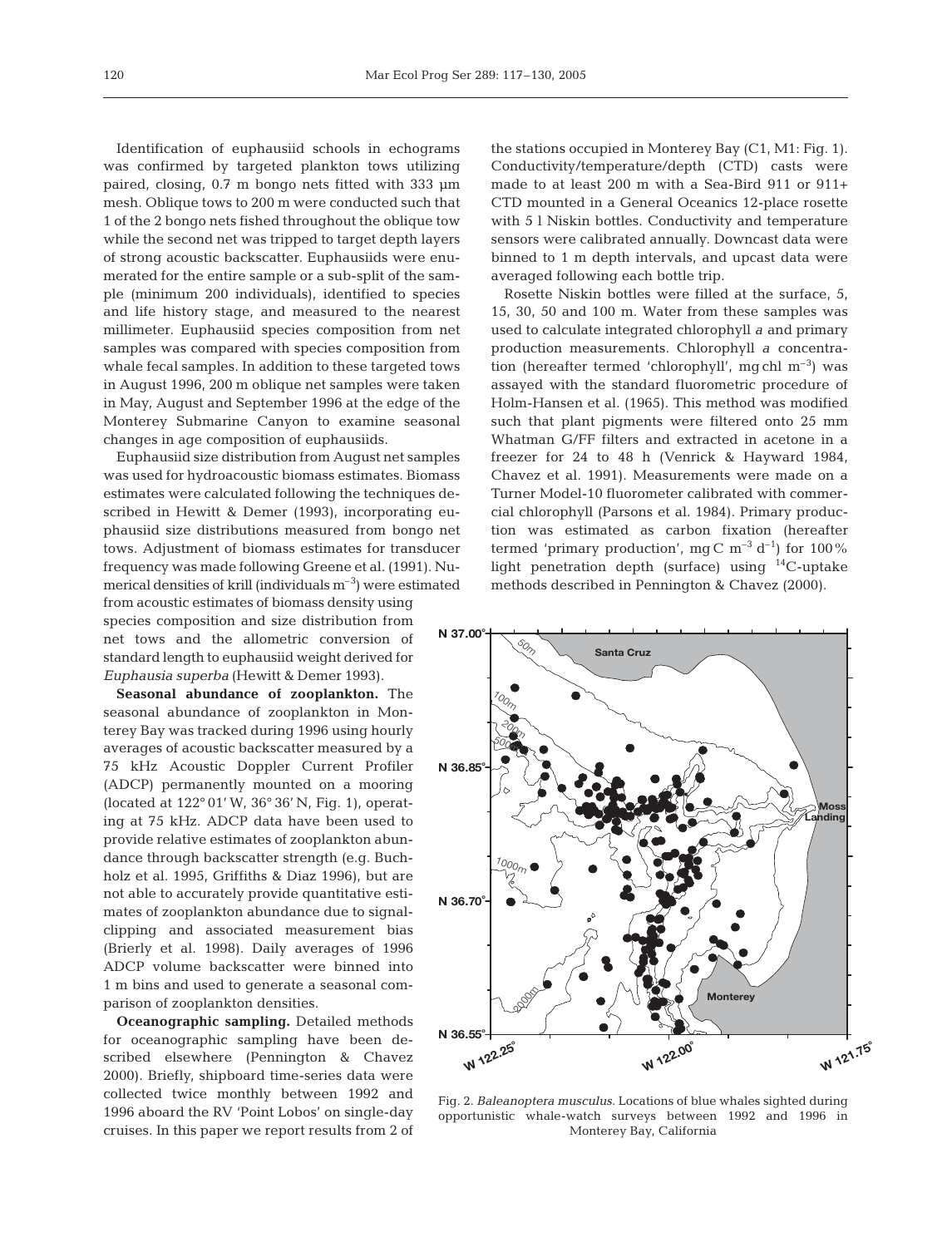Identification of euphausiid schools in echograms was confirmed by targeted plankton tows utilizing paired, closing, 0.7 m bongo nets fitted with 333 µm mesh. Oblique tows to 200 m were conducted such that 1 of the 2 bongo nets fished throughout the oblique tow while the second net was tripped to target depth layers of strong acoustic backscatter. Euphausiids were enumerated for the entire sample or a sub-split of the sample (minimum 200 individuals), identified to species and life history stage, and measured to the nearest millimeter. Euphausiid species composition from net samples was compared with species composition from whale fecal samples. In addition to these targeted tows in August 1996, 200 m oblique net samples were taken in May, August and September 1996 at the edge of the Monterey Submarine Canyon to examine seasonal changes in age composition of euphausiids.

Euphausiid size distribution from August net samples was used for hydroacoustic biomass estimates. Biomass estimates were calculated following the techniques described in Hewitt & Demer (1993), incorporating euphausiid size distributions measured from bongo net tows. Adjustment of biomass estimates for transducer frequency was made following Greene et al. (1991). Numerical densities of krill (individuals  $m^{-3}$ ) were estimated from acoustic estimates of biomass density using species composition and size distribution from net tows and the allometric conversion of standard length to euphausiid weight derived for *Euphausia superba* (Hewitt & Demer 1993).

**Seasonal abundance of zooplankton.** The seasonal abundance of zooplankton in Monterey Bay was tracked during 1996 using hourly averages of acoustic backscatter measured by a 75 kHz Acoustic Doppler Current Profiler (ADCP) permanently mounted on a mooring (located at 122° 01' W, 36° 36' N, Fig. 1), operating at 75 kHz. ADCP data have been used to provide relative estimates of zooplankton abundance through backscatter strength (e.g. Buchholz et al. 1995, Griffiths & Diaz 1996), but are not able to accurately provide quantitative estimates of zooplankton abundance due to signalclipping and associated measurement bias (Brierly et al. 1998). Daily averages of 1996 ADCP volume backscatter were binned into 1 m bins and used to generate a seasonal comparison of zooplankton densities.

**Oceanographic sampling.** Detailed methods for oceanographic sampling have been described elsewhere (Pennington & Chavez 2000). Briefly, shipboard time-series data were collected twice monthly between 1992 and 1996 aboard the RV 'Point Lobos' on single-day cruises. In this paper we report results from 2 of

the stations occupied in Monterey Bay (C1, M1: Fig. 1). Conductivity/temperature/depth (CTD) casts were made to at least 200 m with a Sea-Bird 911 or 911+ CTD mounted in a General Oceanics 12-place rosette with 5 l Niskin bottles. Conductivity and temperature sensors were calibrated annually. Downcast data were binned to 1 m depth intervals, and upcast data were averaged following each bottle trip.

Rosette Niskin bottles were filled at the surface, 5, 15, 30, 50 and 100 m. Water from these samples was used to calculate integrated chlorophyll *a* and primary production measurements. Chlorophyll *a* concentration (hereafter termed 'chlorophyll', mg chl  $m^{-3}$ ) was assayed with the standard fluorometric procedure of Holm-Hansen et al. (1965). This method was modified such that plant pigments were filtered onto 25 mm Whatman G/FF filters and extracted in acetone in a freezer for 24 to 48 h (Venrick & Hayward 1984, Chavez et al. 1991). Measurements were made on a Turner Model-10 fluorometer calibrated with commercial chlorophyll (Parsons et al. 1984). Primary production was estimated as carbon fixation (hereafter termed 'primary production', mg C  $m^{-3} d^{-1}$  for 100% light penetration depth (surface) using 14C-uptake methods described in Pennington & Chavez (2000).



Fig. 2. *Baleanoptera musculus*. Locations of blue whales sighted during opportunistic whale-watch surveys between 1992 and 1996 in Monterey Bay, California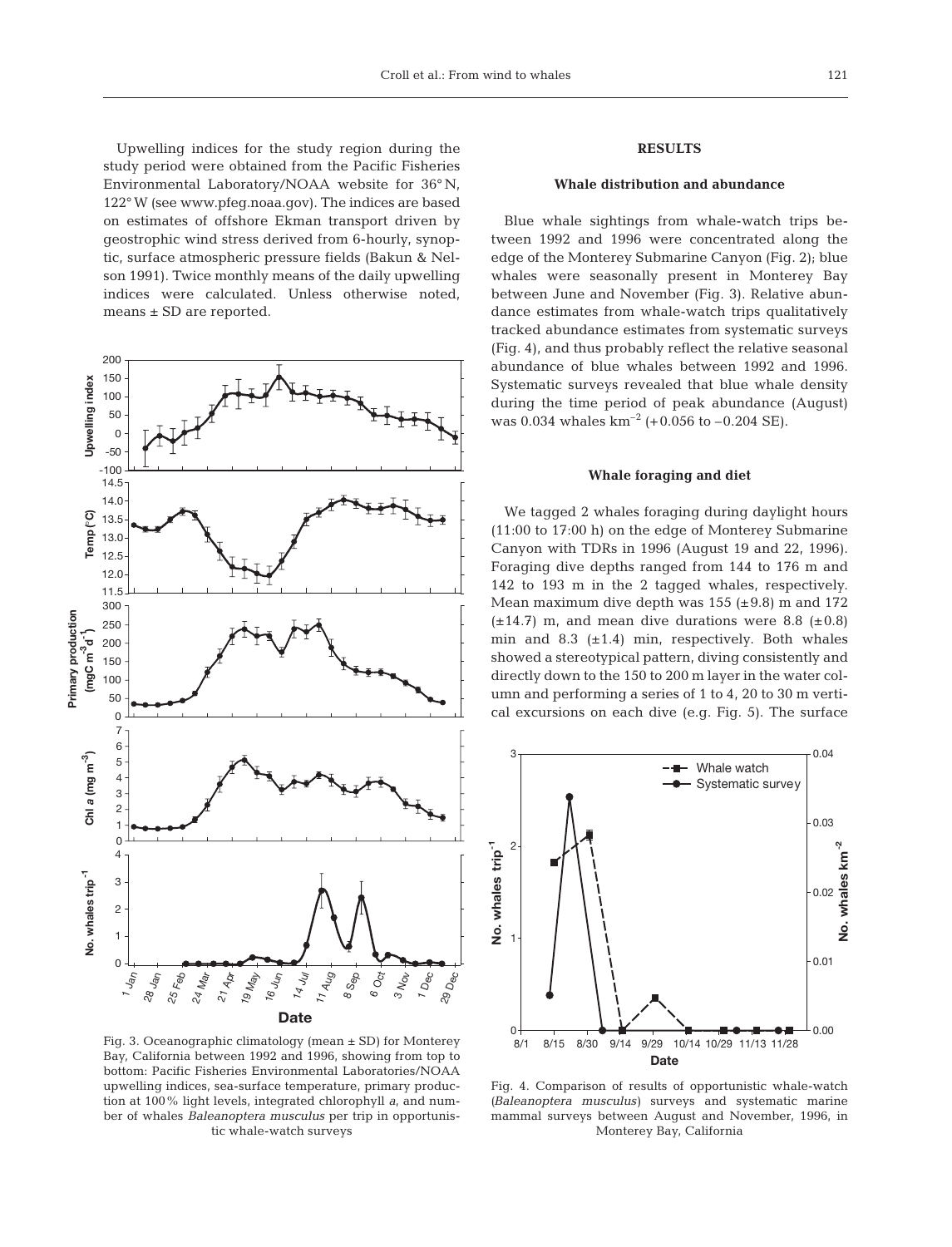Upwelling indices for the study region during the study period were obtained from the Pacific Fisheries Environmental Laboratory/NOAA website for 36° N, 122° W (see www.pfeg.noaa.gov). The indices are based on estimates of offshore Ekman transport driven by geostrophic wind stress derived from 6-hourly, synoptic, surface atmospheric pressure fields (Bakun & Nelson 1991). Twice monthly means of the daily upwelling indices were calculated. Unless otherwise noted, means ± SD are reported.



Fig. 3. Oceanographic climatology (mean ± SD) for Monterey Bay, California between 1992 and 1996, showing from top to bottom: Pacific Fisheries Environmental Laboratories/NOAA upwelling indices, sea-surface temperature, primary production at 100% light levels, integrated chlorophyll *a*, and number of whales *Baleanoptera musculus* per trip in opportunistic whale-watch surveys

# **RESULTS**

## **Whale distribution and abundance**

Blue whale sightings from whale-watch trips between 1992 and 1996 were concentrated along the edge of the Monterey Submarine Canyon (Fig. 2); blue whales were seasonally present in Monterey Bay between June and November (Fig. 3). Relative abundance estimates from whale-watch trips qualitatively tracked abundance estimates from systematic surveys (Fig. 4), and thus probably reflect the relative seasonal abundance of blue whales between 1992 and 1996. Systematic surveys revealed that blue whale density during the time period of peak abundance (August) was 0.034 whales  $km^{-2}$  (+0.056 to -0.204 SE).

#### **Whale foraging and diet**

We tagged 2 whales foraging during daylight hours (11:00 to 17:00 h) on the edge of Monterey Submarine Canyon with TDRs in 1996 (August 19 and 22, 1996). Foraging dive depths ranged from 144 to 176 m and 142 to 193 m in the 2 tagged whales, respectively. Mean maximum dive depth was  $155$  ( $\pm$ 9.8) m and 172  $(\pm 14.7)$  m, and mean dive durations were 8.8 ( $\pm 0.8$ ) min and 8.3  $(\pm 1.4)$  min, respectively. Both whales showed a stereotypical pattern, diving consistently and directly down to the 150 to 200 m layer in the water column and performing a series of 1 to 4, 20 to 30 m vertical excursions on each dive (e.g. Fig. 5). The surface



Fig. 4. Comparison of results of opportunistic whale-watch *(Baleanoptera musculus)* surveys and systematic marine mammal surveys between August and November, 1996, in Monterey Bay, California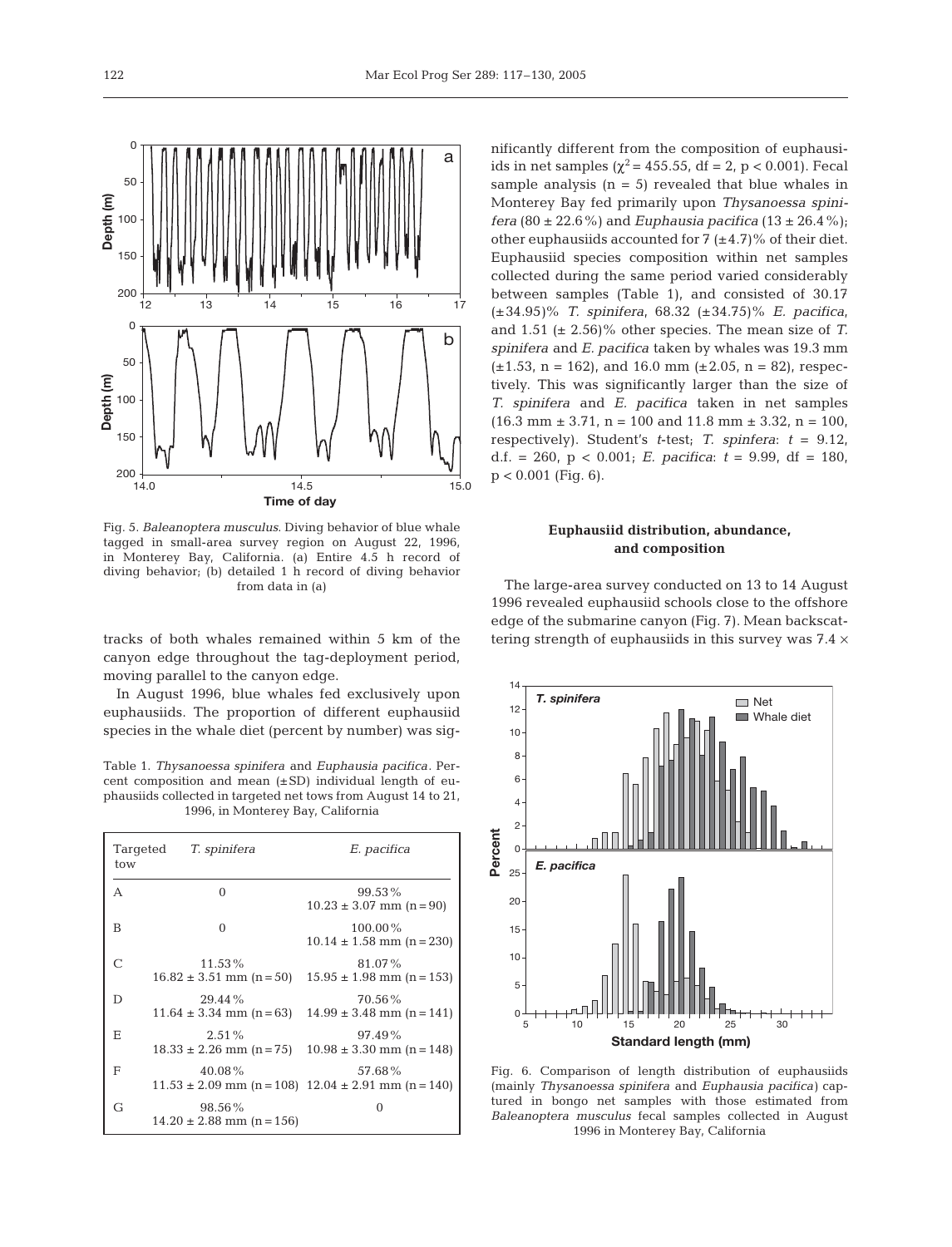

Fig. 5. *Baleanoptera musculus*. Diving behavior of blue whale tagged in small-area survey region on August 22, 1996, in Monterey Bay, California. (a) Entire 4.5 h record of diving behavior; (b) detailed 1 h record of diving behavior from data in (a)

tracks of both whales remained within 5 km of the canyon edge throughout the tag-deployment period, moving parallel to the canyon edge.

In August 1996, blue whales fed exclusively upon euphausiids. The proportion of different euphausiid species in the whale diet (percent by number) was sig-

Table 1. *Thysanoessa spinifera* and *Euphausia pacifica*. Percent composition and mean  $(\pm SD)$  individual length of euphausiids collected in targeted net tows from August 14 to 21, 1996, in Monterey Bay, California

| Targeted<br>tow | T. spinifera                               | E. pacifica                                                           |
|-----------------|--------------------------------------------|-----------------------------------------------------------------------|
| A               | $\Omega$                                   | $99.53\%$<br>$10.23 \pm 3.07$ mm (n = 90)                             |
| B               | $\Omega$                                   | $100.00\%$<br>$10.14 \pm 1.58$ mm (n = 230)                           |
| $\mathcal{C}$   | $11.53\%$<br>$16.82 \pm 3.51$ mm $(n=50)$  | 81.07%<br>$15.95 \pm 1.98$ mm (n = 153)                               |
| D               | $29.44\%$<br>$11.64 \pm 3.34$ mm (n = 63)  | 70.56%<br>$14.99 \pm 3.48$ mm (n = 141)                               |
| Е               | 2.51%<br>$18.33 \pm 2.26$ mm $(n=75)$      | 97.49%<br>$10.98 \pm 3.30$ mm (n = 148)                               |
| F               | 40.08%                                     | 57.68%<br>$11.53 \pm 2.09$ mm (n = 108) $12.04 \pm 2.91$ mm (n = 140) |
| G               | $98.56\%$<br>$14.20 \pm 2.88$ mm (n = 156) |                                                                       |

nificantly different from the composition of euphausiids in net samples ( $\chi^2$  = 455.55, df = 2, p < 0.001). Fecal sample analysis  $(n = 5)$  revealed that blue whales in Monterey Bay fed primarily upon *Thysanoessa spinifera* (80 ± 22.6%) and *Euphausia pacifica* (13 ± 26.4%); other euphausiids accounted for  $7 (+4.7)$ % of their diet. Euphausiid species composition within net samples collected during the same period varied considerably between samples (Table 1), and consisted of 30.17 (±34.95*)*% *T. spinifera*, 68.32 (±34.75)% *E. pacifica*, and 1.51 (± 2.56)% other species. The mean size of *T. spinifera* and *E. pacifica* taken by whales was 19.3 mm  $(\pm 1.53, n = 162)$ , and 16.0 mm  $(\pm 2.05, n = 82)$ , respectively. This was significantly larger than the size of *T. spinifera* and *E. pacifica* taken in net samples  $(16.3 \text{ mm} \pm 3.71, \text{ n} = 100 \text{ and } 11.8 \text{ mm} \pm 3.32, \text{ n} = 100,$ respectively). Student's *t*-test; *T. spinfera*: *t* = 9.12, d.f. = 260,  $p < 0.001$ ; *E. pacifica*:  $t = 9.99$ , df = 180,  $p < 0.001$  (Fig. 6).

# **Euphausiid distribution, abundance, and composition**

The large-area survey conducted on 13 to 14 August 1996 revealed euphausiid schools close to the offshore edge of the submarine canyon (Fig. 7). Mean backscattering strength of euphausiids in this survey was  $7.4 \times$ 



Fig. 6. Comparison of length distribution of euphausiids (mainly *Thysanoessa spinifera* and *Euphausia pacifica)* captured in bongo net samples with those estimated from *Baleanoptera musculus* fecal samples collected in August 1996 in Monterey Bay, California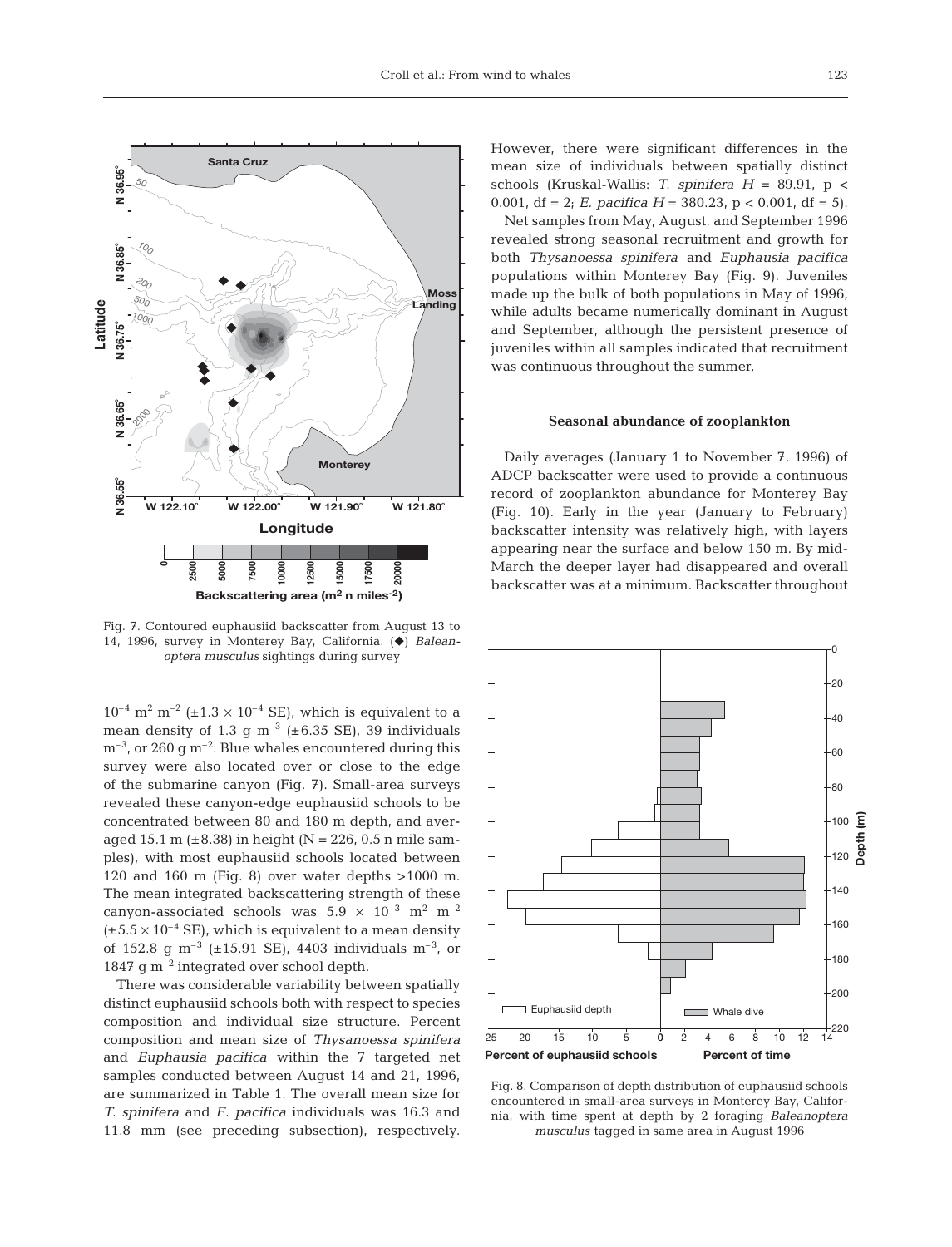

Fig. 7. Contoured euphausiid backscatter from August 13 to 14, 1996, survey in Monterey Bay, California. ( $\blacklozenge$ ) *Baleanoptera musculus* sightings during survey

 $10^{-4}$  m<sup>2</sup> m<sup>-2</sup> (±1.3 × 10<sup>-4</sup> SE), which is equivalent to a mean density of 1.3 g  $m^{-3}$  (±6.35 SE), 39 individuals  $m^{-3}$ , or 260 g m<sup>-2</sup>. Blue whales encountered during this survey were also located over or close to the edge of the submarine canyon (Fig. 7). Small-area surveys revealed these canyon-edge euphausiid schools to be concentrated between 80 and 180 m depth, and averaged 15.1 m ( $\pm 8.38$ ) in height (N = 226, 0.5 n mile samples), with most euphausiid schools located between 120 and 160 m (Fig. 8) over water depths >1000 m. The mean integrated backscattering strength of these canyon-associated schools was  $5.9 \times 10^{-3}$  m<sup>2</sup> m<sup>-2</sup>  $(\pm 5.5 \times 10^{-4} \text{ SE})$ , which is equivalent to a mean density of 152.8 q m<sup>-3</sup> ( $\pm$ 15.91 SE), 4403 individuals m<sup>-3</sup>, or 1847 g m–2 integrated over school depth.

There was considerable variability between spatially distinct euphausiid schools both with respect to species composition and individual size structure. Percent composition and mean size of *Thysanoessa spinifera* and *Euphausia pacifica* within the 7 targeted net samples conducted between August 14 and 21, 1996, are summarized in Table 1. The overall mean size for *T. spinifera* and *E. pacifica* individuals was 16.3 and 11.8 mm (see preceding subsection), respectively.

However, there were significant differences in the mean size of individuals between spatially distinct schools (Kruskal-Wallis: *T. spinifera H* = 89.91, p < 0.001, df = 2; *E. pacifica H* = 380.23,  $p < 0.001$ , df = 5).

Net samples from May, August, and September 1996 revealed strong seasonal recruitment and growth for both *Thysanoessa spinifera* and *Euphausia pacifica* populations within Monterey Bay (Fig. 9). Juveniles made up the bulk of both populations in May of 1996, while adults became numerically dominant in August and September, although the persistent presence of juveniles within all samples indicated that recruitment was continuous throughout the summer.

### **Seasonal abundance of zooplankton**

Daily averages (January 1 to November 7, 1996) of ADCP backscatter were used to provide a continuous record of zooplankton abundance for Monterey Bay (Fig. 10). Early in the year (January to February) backscatter intensity was relatively high, with layers appearing near the surface and below 150 m. By mid-March the deeper layer had disappeared and overall backscatter was at a minimum. Backscatter throughout



Fig. 8. Comparison of depth distribution of euphausiid schools encountered in small-area surveys in Monterey Bay, California, with time spent at depth by 2 foraging *Baleanoptera musculus* tagged in same area in August 1996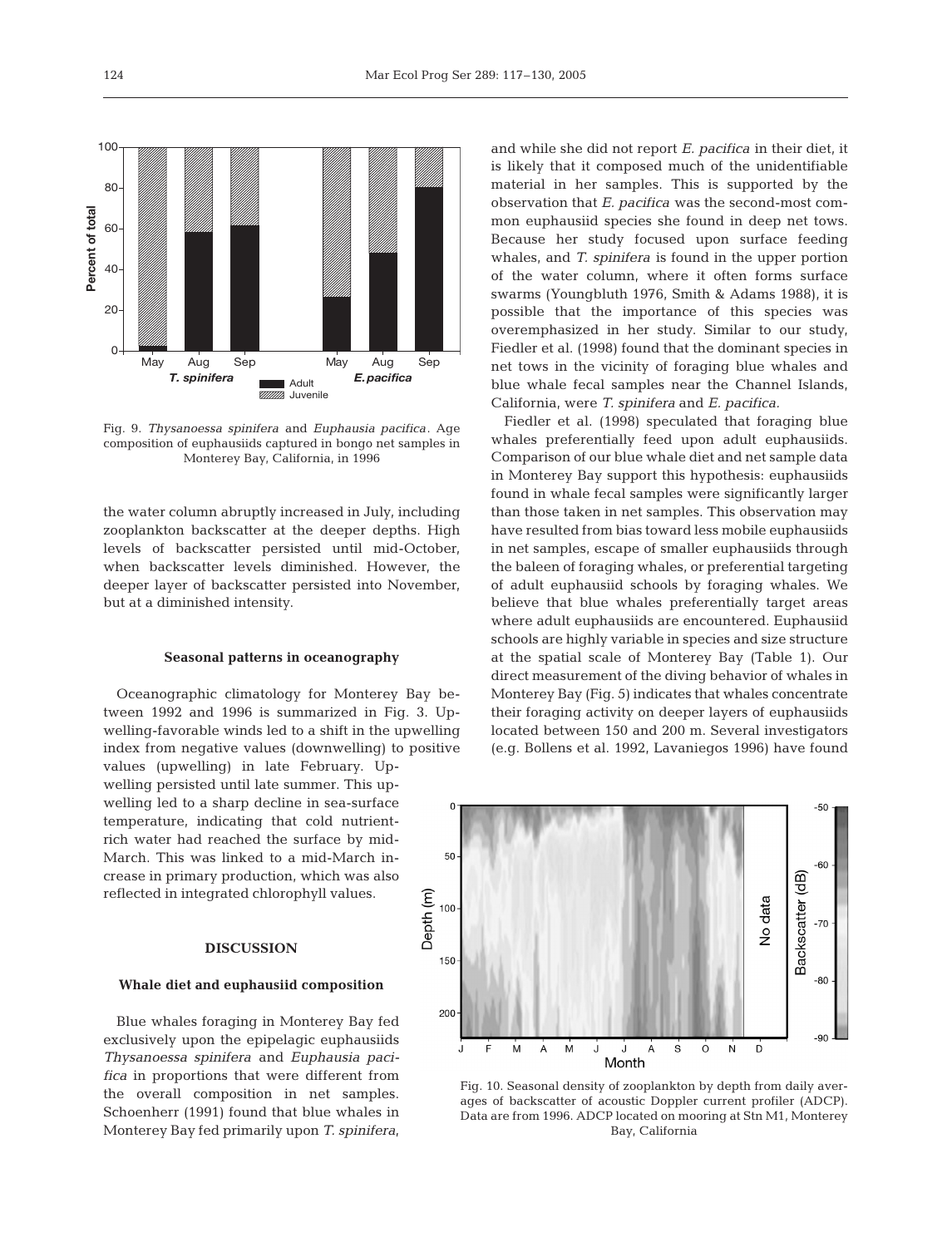

Fig. 9. *Thysanoessa spinifera* and *Euphausia pacifica*. Age composition of euphausiids captured in bongo net samples in Monterey Bay, California, in 1996

the water column abruptly increased in July, including zooplankton backscatter at the deeper depths. High levels of backscatter persisted until mid-October, when backscatter levels diminished. However, the deeper layer of backscatter persisted into November, but at a diminished intensity.

## **Seasonal patterns in oceanography**

Oceanographic climatology for Monterey Bay between 1992 and 1996 is summarized in Fig. 3. Upwelling-favorable winds led to a shift in the upwelling index from negative values (downwelling) to positive values (upwelling) in late February. Upwelling persisted until late summer. This upwelling led to a sharp decline in sea-surface temperature, indicating that cold nutrientrich water had reached the surface by mid-March. This was linked to a mid-March increase in primary production, which was also reflected in integrated chlorophyll values.

#### **DISCUSSION**

#### **Whale diet and euphausiid composition**

Blue whales foraging in Monterey Bay fed exclusively upon the epipelagic euphausiids *Thysanoessa spinifera* and *Euphausia pacifica* in proportions that were different from the overall composition in net samples. Schoenherr (1991) found that blue whales in Monterey Bay fed primarily upon *T. spinifera*,

and while she did not report *E. pacifica* in their diet, it is likely that it composed much of the unidentifiable material in her samples. This is supported by the observation that *E. pacifica* was the second-most common euphausiid species she found in deep net tows. Because her study focused upon surface feeding whales, and *T. spinifera* is found in the upper portion of the water column, where it often forms surface swarms (Youngbluth 1976, Smith & Adams 1988), it is possible that the importance of this species was overemphasized in her study. Similar to our study, Fiedler et al. (1998) found that the dominant species in net tows in the vicinity of foraging blue whales and blue whale fecal samples near the Channel Islands, California, were *T. spinifera* and *E. pacifica.*

Fiedler et al. (1998) speculated that foraging blue whales preferentially feed upon adult euphausiids. Comparison of our blue whale diet and net sample data in Monterey Bay support this hypothesis: euphausiids found in whale fecal samples were significantly larger than those taken in net samples. This observation may have resulted from bias toward less mobile euphausiids in net samples, escape of smaller euphausiids through the baleen of foraging whales, or preferential targeting of adult euphausiid schools by foraging whales. We believe that blue whales preferentially target areas where adult euphausiids are encountered. Euphausiid schools are highly variable in species and size structure at the spatial scale of Monterey Bay (Table 1). Our direct measurement of the diving behavior of whales in Monterey Bay (Fig. 5) indicates that whales concentrate their foraging activity on deeper layers of euphausiids located between 150 and 200 m. Several investigators (e.g. Bollens et al. 1992, Lavaniegos 1996) have found



Fig. 10. Seasonal density of zooplankton by depth from daily averages of backscatter of acoustic Doppler current profiler (ADCP). Data are from 1996. ADCP located on mooring at Stn M1, Monterey Bay, California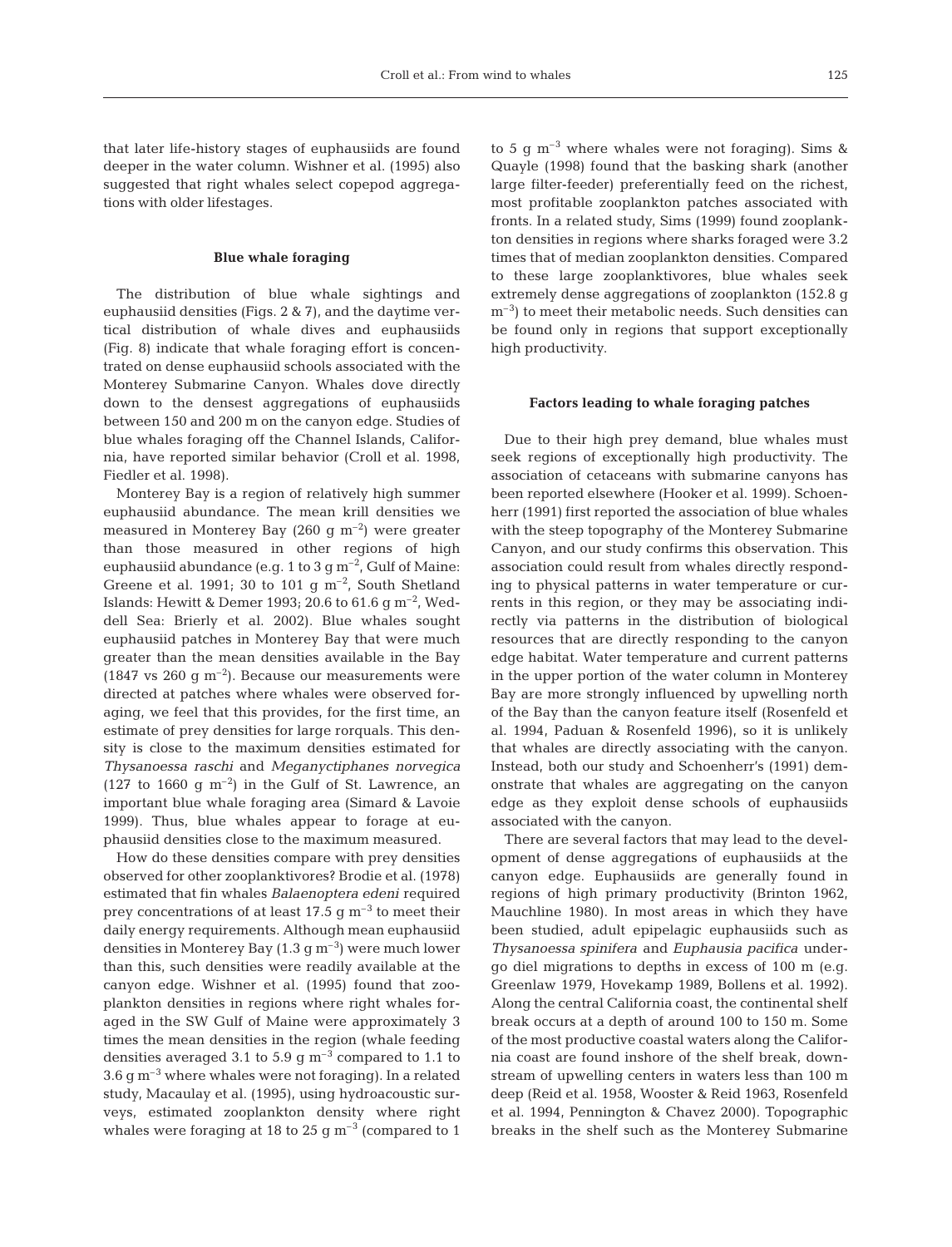that later life-history stages of euphausiids are found deeper in the water column. Wishner et al. (1995) also suggested that right whales select copepod aggregations with older lifestages.

## **Blue whale foraging**

The distribution of blue whale sightings and euphausiid densities (Figs. 2 & 7), and the daytime vertical distribution of whale dives and euphausiids (Fig. 8) indicate that whale foraging effort is concentrated on dense euphausiid schools associated with the Monterey Submarine Canyon. Whales dove directly down to the densest aggregations of euphausiids between 150 and 200 m on the canyon edge. Studies of blue whales foraging off the Channel Islands, California, have reported similar behavior (Croll et al. 1998, Fiedler et al. 1998).

Monterey Bay is a region of relatively high summer euphausiid abundance. The mean krill densities we measured in Monterey Bay (260 g  $m^{-2}$ ) were greater than those measured in other regions of high euphausiid abundance (e.g. 1 to 3 g  $\text{m}^{-2}$ , Gulf of Maine: Greene et al. 1991; 30 to 101 g  $m^{-2}$ , South Shetland Islands: Hewitt & Demer 1993; 20.6 to 61.6 g  $\mathrm{m}^{-2}$ , Weddell Sea: Brierly et al. 2002). Blue whales sought euphausiid patches in Monterey Bay that were much greater than the mean densities available in the Bay (1847 vs 260  $\sigma$  m<sup>-2</sup>). Because our measurements were directed at patches where whales were observed foraging, we feel that this provides, for the first time, an estimate of prey densities for large rorquals. This density is close to the maximum densities estimated for *Thysanoessa raschi* and *Meganyctiphanes norvegica* (127 to 1660 g  $m^{-2}$ ) in the Gulf of St. Lawrence, an important blue whale foraging area (Simard & Lavoie 1999). Thus, blue whales appear to forage at euphausiid densities close to the maximum measured.

How do these densities compare with prey densities observed for other zooplanktivores? Brodie et al. (1978) estimated that fin whales *Balaenoptera edeni* required prey concentrations of at least 17.5 g  $\text{m}^{-3}$  to meet their daily energy requirements. Although mean euphausiid densities in Monterey Bay  $(1.3 \text{ g m}^{-3})$  were much lower than this, such densities were readily available at the canyon edge. Wishner et al. (1995) found that zooplankton densities in regions where right whales foraged in the SW Gulf of Maine were approximately 3 times the mean densities in the region (whale feeding densities averaged 3.1 to 5.9  $\text{g m}^{-3}$  compared to 1.1 to  $3.6 g m<sup>-3</sup>$  where whales were not foraging). In a related study, Macaulay et al. (1995), using hydroacoustic surveys, estimated zooplankton density where right whales were foraging at 18 to 25 g  $\mathrm{m}^{-3}$  (compared to 1

to 5 g  $m^{-3}$  where whales were not foraging). Sims & Quayle (1998) found that the basking shark (another large filter-feeder) preferentially feed on the richest, most profitable zooplankton patches associated with fronts. In a related study, Sims (1999) found zooplankton densities in regions where sharks foraged were 3.2 times that of median zooplankton densities. Compared to these large zooplanktivores, blue whales seek extremely dense aggregations of zooplankton (152.8 g  $m<sup>-3</sup>$ ) to meet their metabolic needs. Such densities can be found only in regions that support exceptionally high productivity.

## **Factors leading to whale foraging patches**

Due to their high prey demand, blue whales must seek regions of exceptionally high productivity. The association of cetaceans with submarine canyons has been reported elsewhere (Hooker et al. 1999). Schoenherr (1991) first reported the association of blue whales with the steep topography of the Monterey Submarine Canyon, and our study confirms this observation. This association could result from whales directly responding to physical patterns in water temperature or currents in this region, or they may be associating indirectly via patterns in the distribution of biological resources that are directly responding to the canyon edge habitat. Water temperature and current patterns in the upper portion of the water column in Monterey Bay are more strongly influenced by upwelling north of the Bay than the canyon feature itself (Rosenfeld et al. 1994, Paduan & Rosenfeld 1996), so it is unlikely that whales are directly associating with the canyon. Instead, both our study and Schoenherr's (1991) demonstrate that whales are aggregating on the canyon edge as they exploit dense schools of euphausiids associated with the canyon.

There are several factors that may lead to the development of dense aggregations of euphausiids at the canyon edge. Euphausiids are generally found in regions of high primary productivity (Brinton 1962, Mauchline 1980). In most areas in which they have been studied, adult epipelagic euphausiids such as *Thysanoessa spinifera* and *Euphausia pacifica* undergo diel migrations to depths in excess of 100 m (e.g. Greenlaw 1979, Hovekamp 1989, Bollens et al. 1992). Along the central California coast, the continental shelf break occurs at a depth of around 100 to 150 m. Some of the most productive coastal waters along the California coast are found inshore of the shelf break, downstream of upwelling centers in waters less than 100 m deep (Reid et al. 1958, Wooster & Reid 1963, Rosenfeld et al. 1994, Pennington & Chavez 2000). Topographic breaks in the shelf such as the Monterey Submarine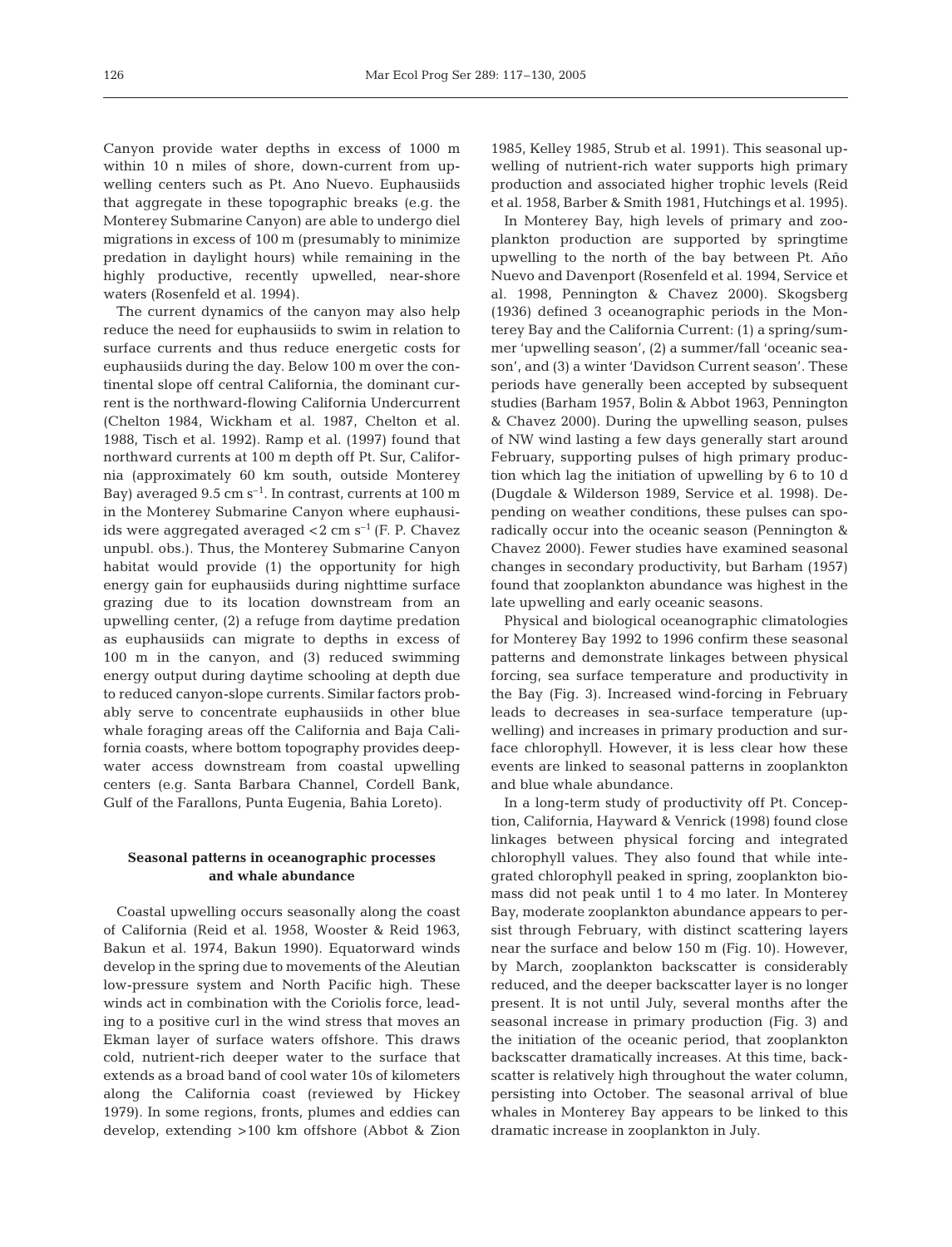Canyon provide water depths in excess of 1000 m within 10 n miles of shore, down-current from upwelling centers such as Pt. Ano Nuevo. Euphausiids that aggregate in these topographic breaks (e.g. the Monterey Submarine Canyon) are able to undergo diel migrations in excess of 100 m (presumably to minimize predation in daylight hours) while remaining in the highly productive, recently upwelled, near-shore waters (Rosenfeld et al. 1994).

The current dynamics of the canyon may also help reduce the need for euphausiids to swim in relation to surface currents and thus reduce energetic costs for euphausiids during the day. Below 100 m over the continental slope off central California, the dominant current is the northward-flowing California Undercurrent (Chelton 1984, Wickham et al. 1987, Chelton et al. 1988, Tisch et al. 1992). Ramp et al. (1997) found that northward currents at 100 m depth off Pt. Sur, California (approximately 60 km south, outside Monterey Bay) averaged  $9.5 \text{ cm s}^{-1}$ . In contrast, currents at 100 m in the Monterey Submarine Canyon where euphausiids were aggregated averaged  $<$ 2 cm s<sup> $-1$ </sup> (F. P. Chavez unpubl. obs.). Thus, the Monterey Submarine Canyon habitat would provide (1) the opportunity for high energy gain for euphausiids during nighttime surface grazing due to its location downstream from an upwelling center, (2) a refuge from daytime predation as euphausiids can migrate to depths in excess of 100 m in the canyon, and (3) reduced swimming energy output during daytime schooling at depth due to reduced canyon-slope currents. Similar factors probably serve to concentrate euphausiids in other blue whale foraging areas off the California and Baja California coasts, where bottom topography provides deepwater access downstream from coastal upwelling centers (e.g. Santa Barbara Channel, Cordell Bank, Gulf of the Farallons, Punta Eugenia, Bahia Loreto).

## **Seasonal patterns in oceanographic processes and whale abundance**

Coastal upwelling occurs seasonally along the coast of California (Reid et al. 1958, Wooster & Reid 1963, Bakun et al. 1974, Bakun 1990). Equatorward winds develop in the spring due to movements of the Aleutian low-pressure system and North Pacific high. These winds act in combination with the Coriolis force, leading to a positive curl in the wind stress that moves an Ekman layer of surface waters offshore. This draws cold, nutrient-rich deeper water to the surface that extends as a broad band of cool water 10s of kilometers along the California coast (reviewed by Hickey 1979). In some regions, fronts, plumes and eddies can develop, extending >100 km offshore (Abbot & Zion 1985, Kelley 1985, Strub et al. 1991). This seasonal upwelling of nutrient-rich water supports high primary production and associated higher trophic levels (Reid et al. 1958, Barber & Smith 1981, Hutchings et al. 1995).

In Monterey Bay, high levels of primary and zooplankton production are supported by springtime upwelling to the north of the bay between Pt. Año Nuevo and Davenport (Rosenfeld et al. 1994, Service et al. 1998, Pennington & Chavez 2000). Skogsberg (1936) defined 3 oceanographic periods in the Monterey Bay and the California Current: (1) a spring/summer 'upwelling season', (2) a summer/fall 'oceanic season', and (3) a winter 'Davidson Current season'. These periods have generally been accepted by subsequent studies (Barham 1957, Bolin & Abbot 1963, Pennington & Chavez 2000). During the upwelling season, pulses of NW wind lasting a few days generally start around February, supporting pulses of high primary production which lag the initiation of upwelling by 6 to 10 d (Dugdale & Wilderson 1989, Service et al. 1998). Depending on weather conditions, these pulses can sporadically occur into the oceanic season (Pennington & Chavez 2000). Fewer studies have examined seasonal changes in secondary productivity, but Barham (1957) found that zooplankton abundance was highest in the late upwelling and early oceanic seasons.

Physical and biological oceanographic climatologies for Monterey Bay 1992 to 1996 confirm these seasonal patterns and demonstrate linkages between physical forcing, sea surface temperature and productivity in the Bay (Fig. 3). Increased wind-forcing in February leads to decreases in sea-surface temperature (upwelling) and increases in primary production and surface chlorophyll. However, it is less clear how these events are linked to seasonal patterns in zooplankton and blue whale abundance.

In a long-term study of productivity off Pt. Conception, California, Hayward & Venrick (1998) found close linkages between physical forcing and integrated chlorophyll values. They also found that while integrated chlorophyll peaked in spring, zooplankton biomass did not peak until 1 to 4 mo later. In Monterey Bay, moderate zooplankton abundance appears to persist through February, with distinct scattering layers near the surface and below 150 m (Fig. 10). However, by March, zooplankton backscatter is considerably reduced, and the deeper backscatter layer is no longer present. It is not until July, several months after the seasonal increase in primary production (Fig. 3) and the initiation of the oceanic period, that zooplankton backscatter dramatically increases. At this time, backscatter is relatively high throughout the water column, persisting into October. The seasonal arrival of blue whales in Monterey Bay appears to be linked to this dramatic increase in zooplankton in July.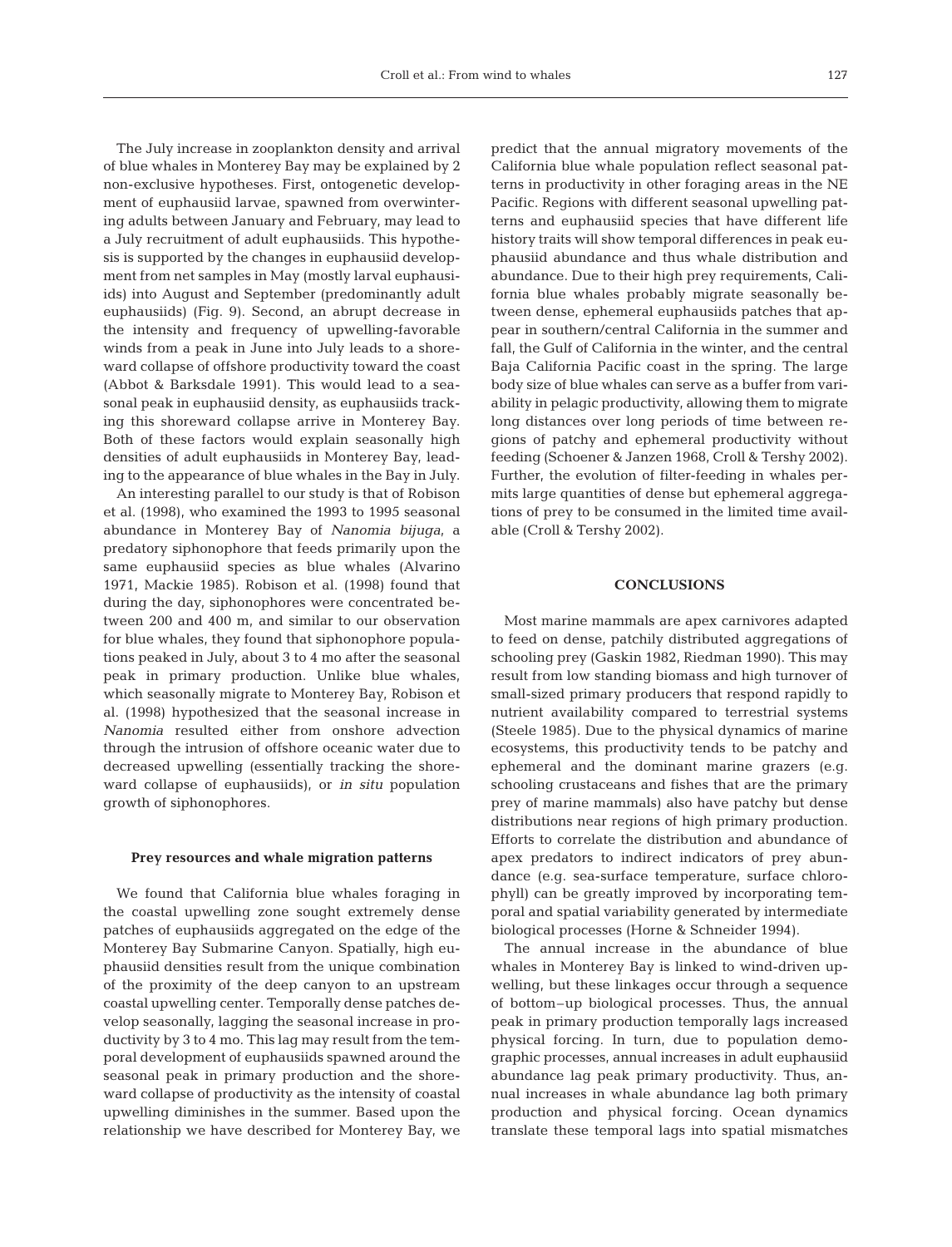The July increase in zooplankton density and arrival of blue whales in Monterey Bay may be explained by 2 non-exclusive hypotheses. First, ontogenetic development of euphausiid larvae, spawned from overwintering adults between January and February, may lead to a July recruitment of adult euphausiids. This hypothesis is supported by the changes in euphausiid development from net samples in May (mostly larval euphausiids) into August and September (predominantly adult euphausiids) (Fig. 9). Second, an abrupt decrease in the intensity and frequency of upwelling-favorable winds from a peak in June into July leads to a shoreward collapse of offshore productivity toward the coast (Abbot & Barksdale 1991). This would lead to a seasonal peak in euphausiid density, as euphausiids tracking this shoreward collapse arrive in Monterey Bay. Both of these factors would explain seasonally high densities of adult euphausiids in Monterey Bay, leading to the appearance of blue whales in the Bay in July.

An interesting parallel to our study is that of Robison et al. (1998), who examined the 1993 to 1995 seasonal abundance in Monterey Bay of *Nanomia bijuga*, a predatory siphonophore that feeds primarily upon the same euphausiid species as blue whales (Alvarino 1971, Mackie 1985). Robison et al. (1998) found that during the day, siphonophores were concentrated between 200 and 400 m, and similar to our observation for blue whales, they found that siphonophore populations peaked in July, about 3 to 4 mo after the seasonal peak in primary production. Unlike blue whales, which seasonally migrate to Monterey Bay, Robison et al. (1998) hypothesized that the seasonal increase in *Nanomia* resulted either from onshore advection through the intrusion of offshore oceanic water due to decreased upwelling (essentially tracking the shoreward collapse of euphausiids), or *in situ* population growth of siphonophores.

#### **Prey resources and whale migration patterns**

We found that California blue whales foraging in the coastal upwelling zone sought extremely dense patches of euphausiids aggregated on the edge of the Monterey Bay Submarine Canyon. Spatially, high euphausiid densities result from the unique combination of the proximity of the deep canyon to an upstream coastal upwelling center. Temporally dense patches develop seasonally, lagging the seasonal increase in productivity by 3 to 4 mo. This lag may result from the temporal development of euphausiids spawned around the seasonal peak in primary production and the shoreward collapse of productivity as the intensity of coastal upwelling diminishes in the summer. Based upon the relationship we have described for Monterey Bay, we

predict that the annual migratory movements of the California blue whale population reflect seasonal patterns in productivity in other foraging areas in the NE Pacific. Regions with different seasonal upwelling patterns and euphausiid species that have different life history traits will show temporal differences in peak euphausiid abundance and thus whale distribution and abundance. Due to their high prey requirements, California blue whales probably migrate seasonally between dense, ephemeral euphausiids patches that appear in southern/central California in the summer and fall, the Gulf of California in the winter, and the central Baja California Pacific coast in the spring. The large body size of blue whales can serve as a buffer from variability in pelagic productivity, allowing them to migrate long distances over long periods of time between regions of patchy and ephemeral productivity without feeding (Schoener & Janzen 1968, Croll & Tershy 2002). Further, the evolution of filter-feeding in whales permits large quantities of dense but ephemeral aggregations of prey to be consumed in the limited time available (Croll & Tershy 2002).

## **CONCLUSIONS**

Most marine mammals are apex carnivores adapted to feed on dense, patchily distributed aggregations of schooling prey (Gaskin 1982, Riedman 1990). This may result from low standing biomass and high turnover of small-sized primary producers that respond rapidly to nutrient availability compared to terrestrial systems (Steele 1985). Due to the physical dynamics of marine ecosystems, this productivity tends to be patchy and ephemeral and the dominant marine grazers (e.g. schooling crustaceans and fishes that are the primary prey of marine mammals) also have patchy but dense distributions near regions of high primary production. Efforts to correlate the distribution and abundance of apex predators to indirect indicators of prey abundance (e.g. sea-surface temperature, surface chlorophyll) can be greatly improved by incorporating temporal and spatial variability generated by intermediate biological processes (Horne & Schneider 1994).

The annual increase in the abundance of blue whales in Monterey Bay is linked to wind-driven upwelling, but these linkages occur through a sequence of bottom–up biological processes. Thus, the annual peak in primary production temporally lags increased physical forcing. In turn, due to population demographic processes, annual increases in adult euphausiid abundance lag peak primary productivity. Thus, annual increases in whale abundance lag both primary production and physical forcing. Ocean dynamics translate these temporal lags into spatial mismatches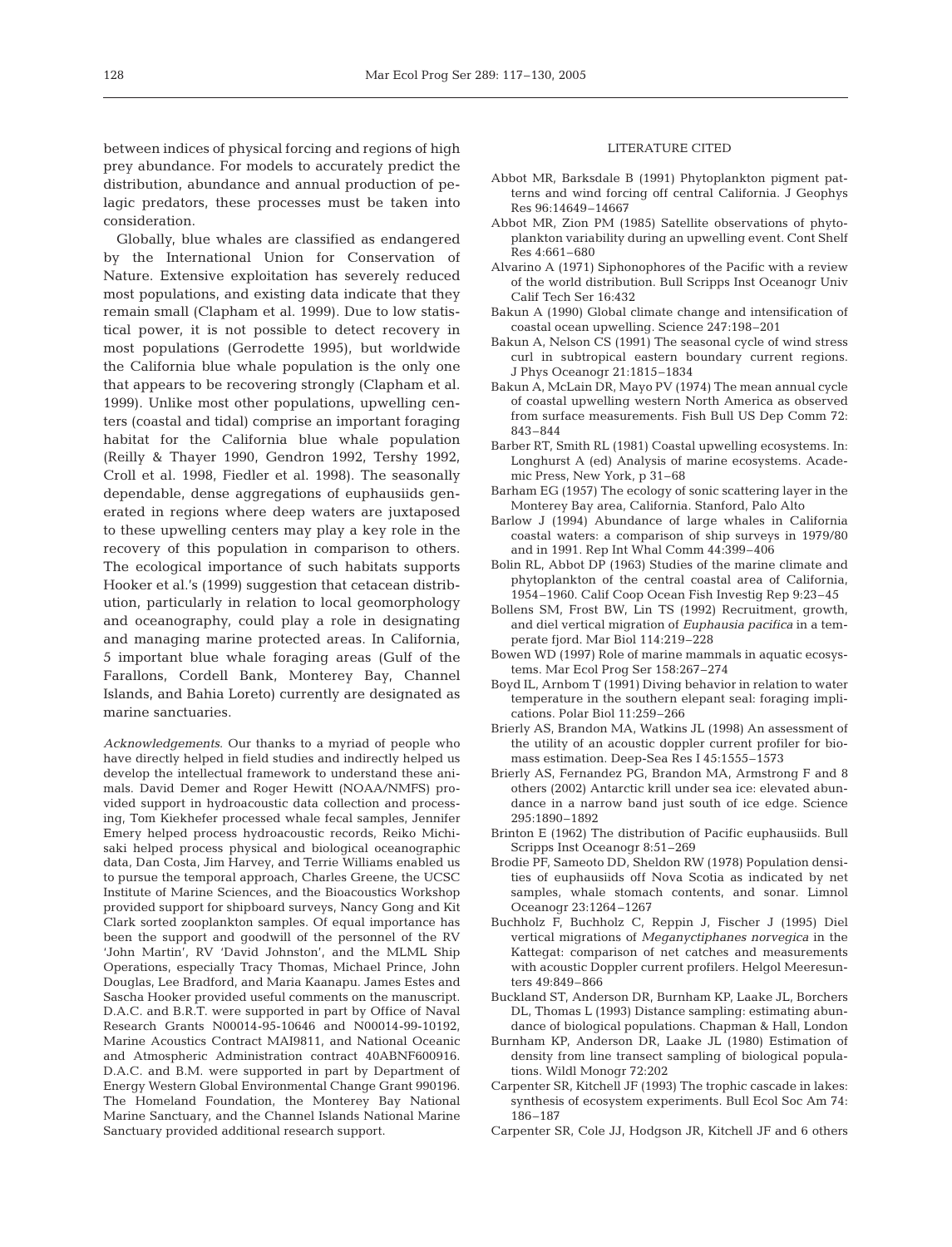between indices of physical forcing and regions of high prey abundance. For models to accurately predict the distribution, abundance and annual production of pelagic predators, these processes must be taken into consideration.

Globally, blue whales are classified as endangered by the International Union for Conservation of Nature. Extensive exploitation has severely reduced most populations, and existing data indicate that they remain small (Clapham et al. 1999). Due to low statistical power, it is not possible to detect recovery in most populations (Gerrodette 1995), but worldwide the California blue whale population is the only one that appears to be recovering strongly (Clapham et al. 1999). Unlike most other populations, upwelling centers (coastal and tidal) comprise an important foraging habitat for the California blue whale population (Reilly & Thayer 1990, Gendron 1992, Tershy 1992, Croll et al. 1998, Fiedler et al. 1998). The seasonally dependable, dense aggregations of euphausiids generated in regions where deep waters are juxtaposed to these upwelling centers may play a key role in the recovery of this population in comparison to others. The ecological importance of such habitats supports Hooker et al.'s (1999) suggestion that cetacean distribution, particularly in relation to local geomorphology and oceanography, could play a role in designating and managing marine protected areas. In California, 5 important blue whale foraging areas (Gulf of the Farallons, Cordell Bank, Monterey Bay, Channel Islands, and Bahia Loreto) currently are designated as marine sanctuaries.

*Acknowledgements*. Our thanks to a myriad of people who have directly helped in field studies and indirectly helped us develop the intellectual framework to understand these animals. David Demer and Roger Hewitt (NOAA/NMFS) provided support in hydroacoustic data collection and processing, Tom Kiekhefer processed whale fecal samples, Jennifer Emery helped process hydroacoustic records, Reiko Michisaki helped process physical and biological oceanographic data, Dan Costa, Jim Harvey, and Terrie Williams enabled us to pursue the temporal approach, Charles Greene, the UCSC Institute of Marine Sciences, and the Bioacoustics Workshop provided support for shipboard surveys, Nancy Gong and Kit Clark sorted zooplankton samples. Of equal importance has been the support and goodwill of the personnel of the RV 'John Martin', RV 'David Johnston', and the MLML Ship Operations, especially Tracy Thomas, Michael Prince, John Douglas, Lee Bradford, and Maria Kaanapu. James Estes and Sascha Hooker provided useful comments on the manuscript. D.A.C. and B.R.T. were supported in part by Office of Naval Research Grants N00014-95-10646 and N00014-99-10192, Marine Acoustics Contract MAI9811, and National Oceanic and Atmospheric Administration contract 40ABNF600916. D.A.C. and B.M. were supported in part by Department of Energy Western Global Environmental Change Grant 990196. The Homeland Foundation, the Monterey Bay National Marine Sanctuary, and the Channel Islands National Marine Sanctuary provided additional research support.

## LITERATURE CITED

- Abbot MR, Barksdale B (1991) Phytoplankton pigment patterns and wind forcing off central California. J Geophys Res 96:14649–14667
- Abbot MR, Zion PM (1985) Satellite observations of phytoplankton variability during an upwelling event. Cont Shelf Res 4:661–680
- Alvarino A (1971) Siphonophores of the Pacific with a review of the world distribution. Bull Scripps Inst Oceanogr Univ Calif Tech Ser 16:432
- Bakun A (1990) Global climate change and intensification of coastal ocean upwelling. Science 247:198–201
- Bakun A, Nelson CS (1991) The seasonal cycle of wind stress curl in subtropical eastern boundary current regions. J Phys Oceanogr 21:1815–1834
- Bakun A, McLain DR, Mayo PV (1974) The mean annual cycle of coastal upwelling western North America as observed from surface measurements. Fish Bull US Dep Comm 72: 843–844
- Barber RT, Smith RL (1981) Coastal upwelling ecosystems. In: Longhurst A (ed) Analysis of marine ecosystems. Academic Press, New York, p 31–68
- Barham EG (1957) The ecology of sonic scattering layer in the Monterey Bay area, California. Stanford, Palo Alto
- Barlow J (1994) Abundance of large whales in California coastal waters: a comparison of ship surveys in 1979/80 and in 1991. Rep Int Whal Comm 44:399–406
- Bolin RL, Abbot DP (1963) Studies of the marine climate and phytoplankton of the central coastal area of California, 1954–1960. Calif Coop Ocean Fish Investig Rep 9:23–45
- Bollens SM, Frost BW, Lin TS (1992) Recruitment, growth, and diel vertical migration of *Euphausia pacifica* in a temperate fjord. Mar Biol 114:219–228
- Bowen WD (1997) Role of marine mammals in aquatic ecosystems. Mar Ecol Prog Ser 158:267–274
- Boyd IL, Arnbom T (1991) Diving behavior in relation to water temperature in the southern elepant seal: foraging implications. Polar Biol 11:259–266
- Brierly AS, Brandon MA, Watkins JL (1998) An assessment of the utility of an acoustic doppler current profiler for biomass estimation. Deep-Sea Res I 45:1555–1573
- Brierly AS, Fernandez PG, Brandon MA, Armstrong F and 8 others (2002) Antarctic krill under sea ice: elevated abundance in a narrow band just south of ice edge. Science 295:1890–1892
- Brinton E (1962) The distribution of Pacific euphausiids. Bull Scripps Inst Oceanogr 8:51–269
- Brodie PF, Sameoto DD, Sheldon RW (1978) Population densities of euphausiids off Nova Scotia as indicated by net samples, whale stomach contents, and sonar. Limnol Oceanogr 23:1264–1267
- Buchholz F, Buchholz C, Reppin J, Fischer J (1995) Diel vertical migrations of *Meganyctiphanes norvegica* in the Kattegat: comparison of net catches and measurements with acoustic Doppler current profilers. Helgol Meeresunters 49:849–866
- Buckland ST, Anderson DR, Burnham KP, Laake JL, Borchers DL, Thomas L (1993) Distance sampling: estimating abundance of biological populations. Chapman & Hall, London
- Burnham KP, Anderson DR, Laake JL (1980) Estimation of density from line transect sampling of biological populations. Wildl Monogr 72:202
- Carpenter SR, Kitchell JF (1993) The trophic cascade in lakes: synthesis of ecosystem experiments. Bull Ecol Soc Am 74: 186–187
- Carpenter SR, Cole JJ, Hodgson JR, Kitchell JF and 6 others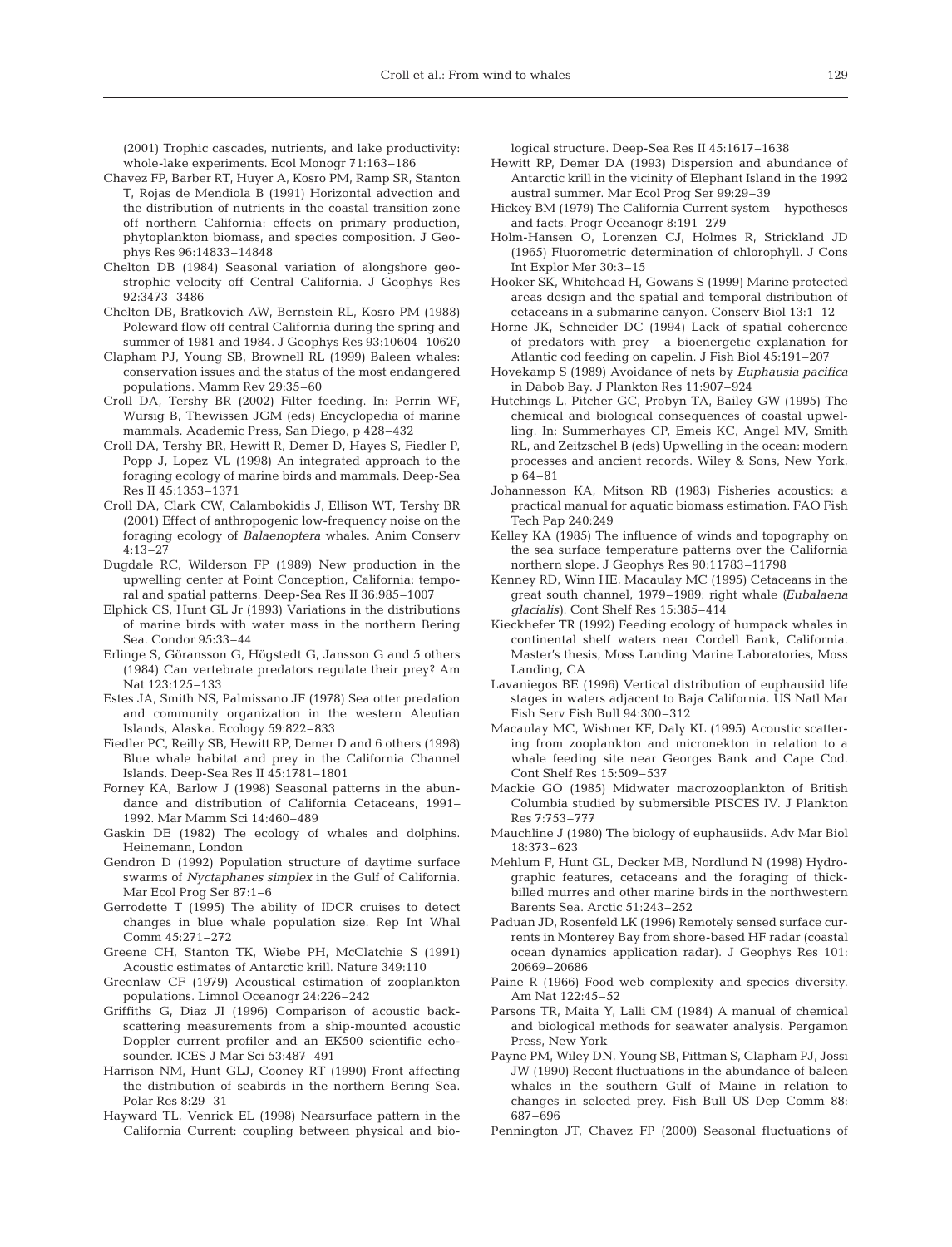(2001) Trophic cascades, nutrients, and lake productivity: whole-lake experiments. Ecol Monogr 71:163–186

- Chavez FP, Barber RT, Huyer A, Kosro PM, Ramp SR, Stanton T, Rojas de Mendiola B (1991) Horizontal advection and the distribution of nutrients in the coastal transition zone off northern California: effects on primary production, phytoplankton biomass, and species composition. J Geophys Res 96:14833–14848
- Chelton DB (1984) Seasonal variation of alongshore geostrophic velocity off Central California. J Geophys Res 92:3473–3486
- Chelton DB, Bratkovich AW, Bernstein RL, Kosro PM (1988) Poleward flow off central California during the spring and summer of 1981 and 1984. J Geophys Res 93:10604–10620
- Clapham PJ, Young SB, Brownell RL (1999) Baleen whales: conservation issues and the status of the most endangered populations. Mamm Rev 29:35–60
- Croll DA, Tershy BR (2002) Filter feeding. In: Perrin WF, Wursig B, Thewissen JGM (eds) Encyclopedia of marine mammals. Academic Press, San Diego, p 428–432
- Croll DA, Tershy BR, Hewitt R, Demer D, Hayes S, Fiedler P, Popp J, Lopez VL (1998) An integrated approach to the foraging ecology of marine birds and mammals. Deep-Sea Res II 45:1353–1371
- Croll DA, Clark CW, Calambokidis J, Ellison WT, Tershy BR (2001) Effect of anthropogenic low-frequency noise on the foraging ecology of *Balaenoptera* whales. Anim Conserv 4:13–27
- Dugdale RC, Wilderson FP (1989) New production in the upwelling center at Point Conception, California: temporal and spatial patterns. Deep-Sea Res II 36:985–1007
- Elphick CS, Hunt GL Jr (1993) Variations in the distributions of marine birds with water mass in the northern Bering Sea. Condor 95:33–44
- Erlinge S, Göransson G, Högstedt G, Jansson G and 5 others (1984) Can vertebrate predators regulate their prey? Am Nat 123:125–133
- Estes JA, Smith NS, Palmissano JF (1978) Sea otter predation and community organization in the western Aleutian Islands, Alaska. Ecology 59:822–833
- Fiedler PC, Reilly SB, Hewitt RP, Demer D and 6 others (1998) Blue whale habitat and prey in the California Channel Islands. Deep-Sea Res II 45:1781–1801
- Forney KA, Barlow J (1998) Seasonal patterns in the abundance and distribution of California Cetaceans, 1991– 1992. Mar Mamm Sci 14:460–489
- Gaskin DE (1982) The ecology of whales and dolphins. Heinemann, London
- Gendron D (1992) Population structure of daytime surface swarms of *Nyctaphanes simplex* in the Gulf of California. Mar Ecol Prog Ser 87:1–6
- Gerrodette T (1995) The ability of IDCR cruises to detect changes in blue whale population size. Rep Int Whal Comm 45:271–272
- Greene CH, Stanton TK, Wiebe PH, McClatchie S (1991) Acoustic estimates of Antarctic krill. Nature 349:110
- Greenlaw CF (1979) Acoustical estimation of zooplankton populations. Limnol Oceanogr 24:226–242
- Griffiths G, Diaz JI (1996) Comparison of acoustic backscattering measurements from a ship-mounted acoustic Doppler current profiler and an EK500 scientific echosounder. ICES J Mar Sci 53:487–491
- Harrison NM, Hunt GLJ, Cooney RT (1990) Front affecting the distribution of seabirds in the northern Bering Sea. Polar Res 8:29–31
- Hayward TL, Venrick EL (1998) Nearsurface pattern in the California Current: coupling between physical and bio-

logical structure. Deep-Sea Res II 45:1617–1638

- Hewitt RP, Demer DA (1993) Dispersion and abundance of Antarctic krill in the vicinity of Elephant Island in the 1992 austral summer. Mar Ecol Prog Ser 99:29–39
- Hickey BM (1979) The California Current system—hypotheses and facts. Progr Oceanogr 8:191–279
- Holm-Hansen O, Lorenzen CJ, Holmes R, Strickland JD (1965) Fluorometric determination of chlorophyll. J Cons Int Explor Mer 30:3–15
- Hooker SK, Whitehead H, Gowans S (1999) Marine protected areas design and the spatial and temporal distribution of cetaceans in a submarine canyon. Conserv Biol 13:1–12
- Horne JK, Schneider DC (1994) Lack of spatial coherence of predators with prey—a bioenergetic explanation for Atlantic cod feeding on capelin. J Fish Biol 45:191–207
- Hovekamp S (1989) Avoidance of nets by *Euphausia pacifica* in Dabob Bay. J Plankton Res 11:907–924
- Hutchings L, Pitcher GC, Probyn TA, Bailey GW (1995) The chemical and biological consequences of coastal upwelling. In: Summerhayes CP, Emeis KC, Angel MV, Smith RL, and Zeitzschel B (eds) Upwelling in the ocean: modern processes and ancient records. Wiley & Sons, New York, p 64–81
- Johannesson KA, Mitson RB (1983) Fisheries acoustics: a practical manual for aquatic biomass estimation. FAO Fish Tech Pap 240:249
- Kelley KA (1985) The influence of winds and topography on the sea surface temperature patterns over the California northern slope. J Geophys Res 90:11783–11798
- Kenney RD, Winn HE, Macaulay MC (1995) Cetaceans in the great south channel, 1979–1989: right whale *(Eubalaena glacialis)*. Cont Shelf Res 15:385–414
- Kieckhefer TR (1992) Feeding ecology of humpack whales in continental shelf waters near Cordell Bank, California. Master's thesis, Moss Landing Marine Laboratories, Moss Landing, CA
- Lavaniegos BE (1996) Vertical distribution of euphausiid life stages in waters adjacent to Baja California. US Natl Mar Fish Serv Fish Bull 94:300–312
- Macaulay MC, Wishner KF, Daly KL (1995) Acoustic scattering from zooplankton and micronekton in relation to a whale feeding site near Georges Bank and Cape Cod. Cont Shelf Res 15:509–537
- Mackie GO (1985) Midwater macrozooplankton of British Columbia studied by submersible PISCES IV. J Plankton Res 7:753–777
- Mauchline J (1980) The biology of euphausiids. Adv Mar Biol 18:373–623
- Mehlum F, Hunt GL, Decker MB, Nordlund N (1998) Hydrographic features, cetaceans and the foraging of thickbilled murres and other marine birds in the northwestern Barents Sea. Arctic 51:243–252
- Paduan JD, Rosenfeld LK (1996) Remotely sensed surface currents in Monterey Bay from shore-based HF radar (coastal ocean dynamics application radar). J Geophys Res 101: 20669–20686
- Paine R (1966) Food web complexity and species diversity. Am Nat 122:45–52
- Parsons TR, Maita Y, Lalli CM (1984) A manual of chemical and biological methods for seawater analysis. Pergamon Press, New York
- Payne PM, Wiley DN, Young SB, Pittman S, Clapham PJ, Jossi JW (1990) Recent fluctuations in the abundance of baleen whales in the southern Gulf of Maine in relation to changes in selected prey. Fish Bull US Dep Comm 88: 687–696
- Pennington JT, Chavez FP (2000) Seasonal fluctuations of